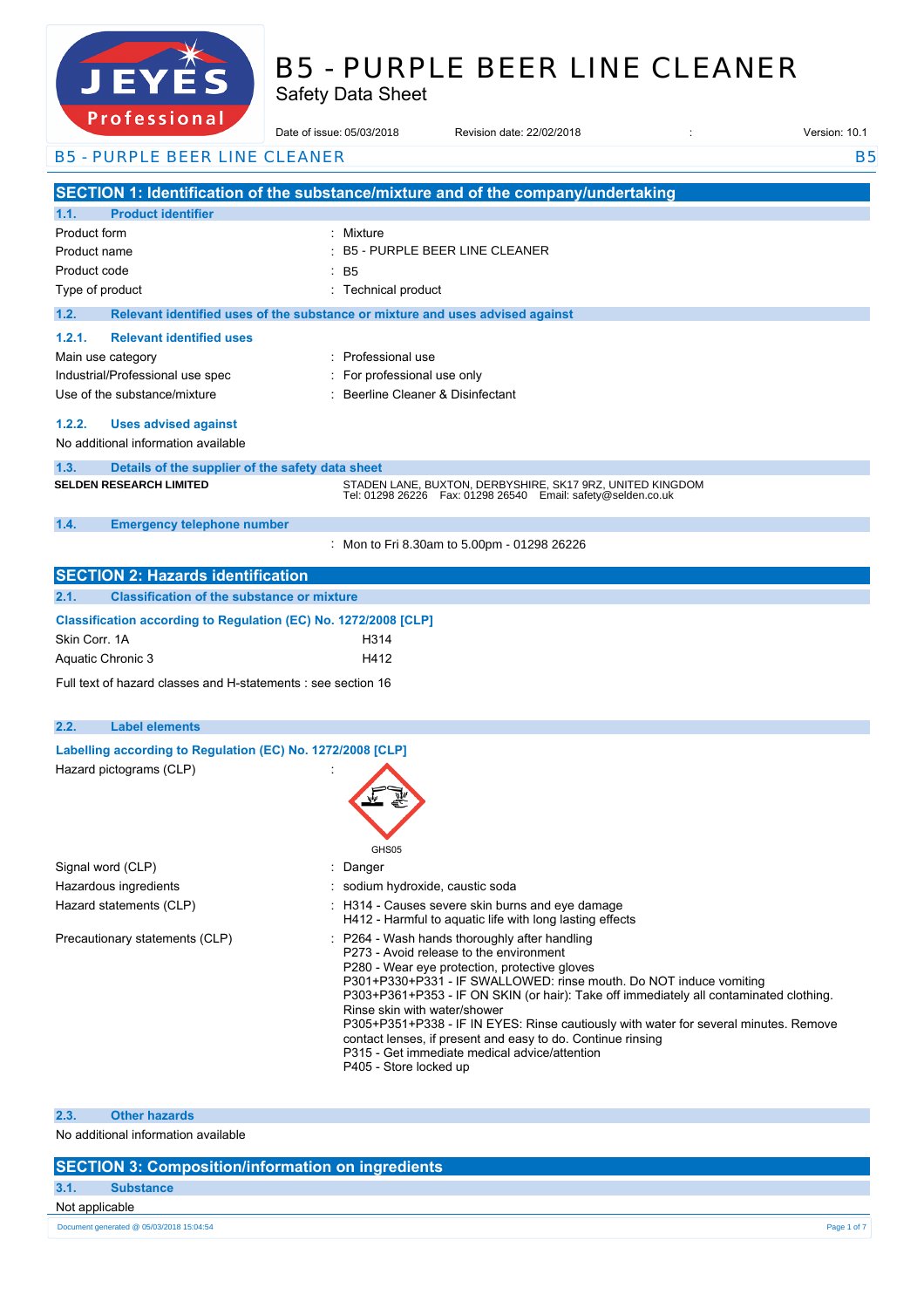

# B5 - PURPLE BEER LINE CLEANER

Safety Data Sheet

| r r o r e s s r o mar                                           | Date of issue: 05/03/2018                                                     | Revision date: 22/02/2018                                                                                                                                    | Version: 10.1 |
|-----------------------------------------------------------------|-------------------------------------------------------------------------------|--------------------------------------------------------------------------------------------------------------------------------------------------------------|---------------|
| <b>B5 - PURPLE BEER LINE CLEANER</b>                            |                                                                               |                                                                                                                                                              | <b>B5</b>     |
|                                                                 |                                                                               | SECTION 1: Identification of the substance/mixture and of the company/undertaking                                                                            |               |
| 1.1.<br><b>Product identifier</b>                               |                                                                               |                                                                                                                                                              |               |
| Product form                                                    | Mixture                                                                       |                                                                                                                                                              |               |
| Product name                                                    |                                                                               | <b>B5 - PURPLE BEER LINE CLEANER</b>                                                                                                                         |               |
| Product code                                                    | : B5                                                                          |                                                                                                                                                              |               |
| Type of product                                                 | <b>Technical product</b>                                                      |                                                                                                                                                              |               |
| 1.2.                                                            | Relevant identified uses of the substance or mixture and uses advised against |                                                                                                                                                              |               |
| 1.2.1.<br><b>Relevant identified uses</b>                       |                                                                               |                                                                                                                                                              |               |
| Main use category                                               | : Professional use                                                            |                                                                                                                                                              |               |
| Industrial/Professional use spec                                | For professional use only                                                     |                                                                                                                                                              |               |
| Use of the substance/mixture                                    | : Beerline Cleaner & Disinfectant                                             |                                                                                                                                                              |               |
|                                                                 |                                                                               |                                                                                                                                                              |               |
| 1.2.2.<br><b>Uses advised against</b>                           |                                                                               |                                                                                                                                                              |               |
| No additional information available                             |                                                                               |                                                                                                                                                              |               |
| 1.3.<br>Details of the supplier of the safety data sheet        |                                                                               |                                                                                                                                                              |               |
| <b>SELDEN RESEARCH LIMITED</b>                                  |                                                                               | STADEN LANE, BUXTON, DERBYSHIRE, SK17 9RZ, UNITED KINGDOM                                                                                                    |               |
|                                                                 |                                                                               | Tel: 01298 26226    Fax: 01298 26540    Email: safety@selden.co.uk                                                                                           |               |
| 1.4.<br><b>Emergency telephone number</b>                       |                                                                               |                                                                                                                                                              |               |
|                                                                 |                                                                               | : Mon to Fri 8.30am to 5.00pm - 01298 26226                                                                                                                  |               |
|                                                                 |                                                                               |                                                                                                                                                              |               |
| <b>SECTION 2: Hazards identification</b>                        |                                                                               |                                                                                                                                                              |               |
| <b>Classification of the substance or mixture</b><br>2.1.       |                                                                               |                                                                                                                                                              |               |
| Classification according to Regulation (EC) No. 1272/2008 [CLP] |                                                                               |                                                                                                                                                              |               |
| Skin Corr. 1A                                                   | H314                                                                          |                                                                                                                                                              |               |
| Aquatic Chronic 3                                               | H412                                                                          |                                                                                                                                                              |               |
|                                                                 |                                                                               |                                                                                                                                                              |               |
| Full text of hazard classes and H-statements : see section 16   |                                                                               |                                                                                                                                                              |               |
| 2.2.<br><b>Label elements</b>                                   |                                                                               |                                                                                                                                                              |               |
|                                                                 |                                                                               |                                                                                                                                                              |               |
| Labelling according to Regulation (EC) No. 1272/2008 [CLP]      |                                                                               |                                                                                                                                                              |               |
| Hazard pictograms (CLP)                                         |                                                                               |                                                                                                                                                              |               |
|                                                                 |                                                                               |                                                                                                                                                              |               |
|                                                                 |                                                                               |                                                                                                                                                              |               |
|                                                                 |                                                                               |                                                                                                                                                              |               |
|                                                                 | GHS05                                                                         |                                                                                                                                                              |               |
| Signal word (CLP)                                               | Danger                                                                        |                                                                                                                                                              |               |
| Hazardous ingredients                                           | sodium hydroxide, caustic soda                                                |                                                                                                                                                              |               |
| Hazard statements (CLP)                                         |                                                                               | : H314 - Causes severe skin burns and eye damage<br>H412 - Harmful to aquatic life with long lasting effects                                                 |               |
| Precautionary statements (CLP)                                  |                                                                               | P264 - Wash hands thoroughly after handling                                                                                                                  |               |
|                                                                 |                                                                               | P273 - Avoid release to the environment                                                                                                                      |               |
|                                                                 |                                                                               | P280 - Wear eye protection, protective gloves                                                                                                                |               |
|                                                                 |                                                                               | P301+P330+P331 - IF SWALLOWED: rinse mouth. Do NOT induce vomiting<br>P303+P361+P353 - IF ON SKIN (or hair): Take off immediately all contaminated clothing. |               |
|                                                                 | Rinse skin with water/shower                                                  |                                                                                                                                                              |               |
|                                                                 |                                                                               | P305+P351+P338 - IF IN EYES: Rinse cautiously with water for several minutes. Remove                                                                         |               |
|                                                                 |                                                                               | contact lenses, if present and easy to do. Continue rinsing                                                                                                  |               |
|                                                                 |                                                                               | P315 - Get immediate medical advice/attention                                                                                                                |               |
|                                                                 | P405 - Store locked up                                                        |                                                                                                                                                              |               |
|                                                                 |                                                                               |                                                                                                                                                              |               |

**2.3. Other hazards**

No additional information available

### **SECTION 3: Composition/information on ingredients**

| 3.1. | <b>Substance</b> |
|------|------------------|
|      |                  |

Not applicable

22/02/2018 EN (English) 1/7 Document generated @ 05/03/2018 15:04:54 Page 1 of 7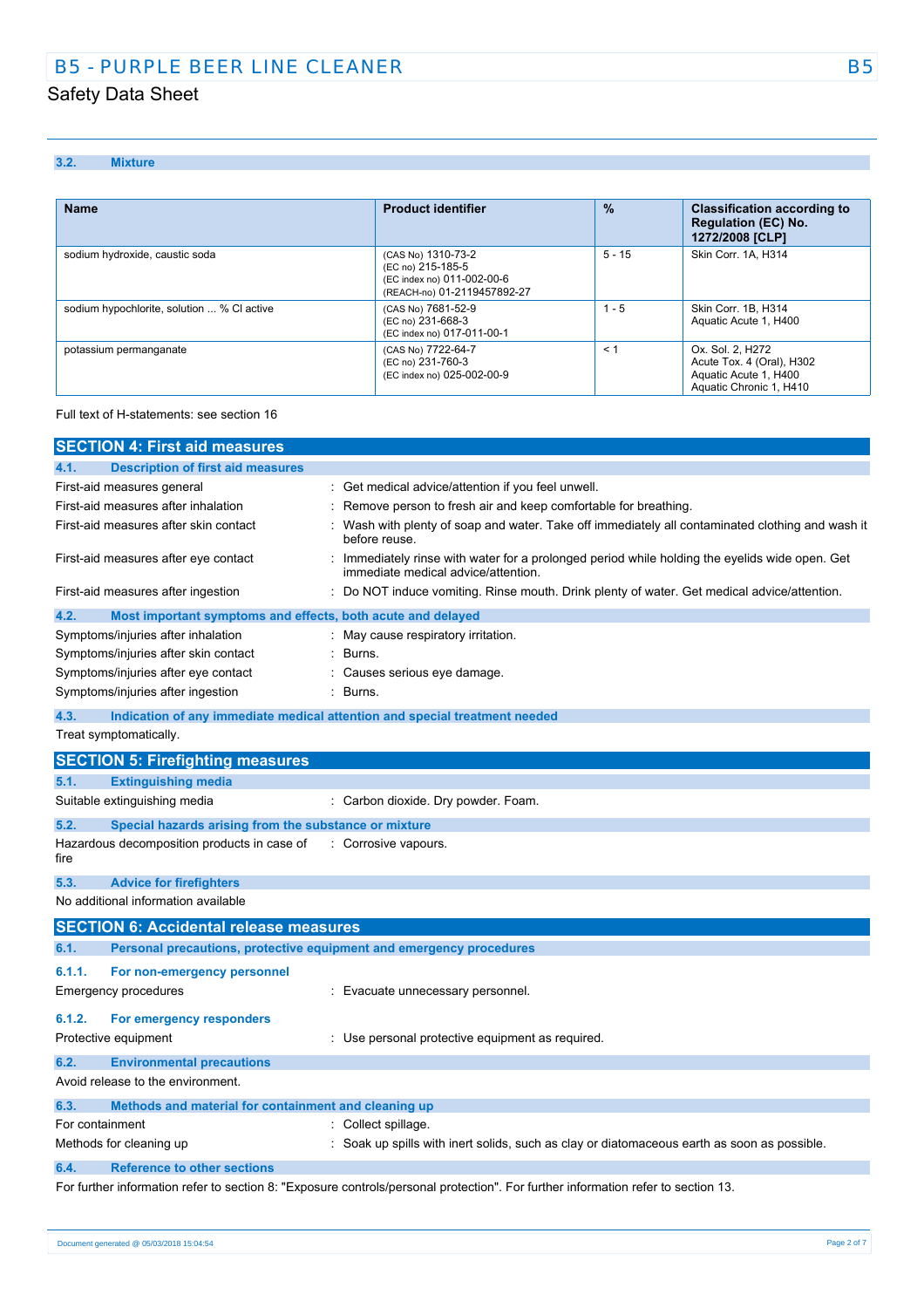### **3.2. Mixture**

| <b>Name</b>                                | <b>Product identifier</b>                                                                            | $\%$     | <b>Classification according to</b><br><b>Regulation (EC) No.</b><br>1272/2008 [CLP]               |
|--------------------------------------------|------------------------------------------------------------------------------------------------------|----------|---------------------------------------------------------------------------------------------------|
| sodium hydroxide, caustic soda             | (CAS No) 1310-73-2<br>(EC no) 215-185-5<br>(EC index no) 011-002-00-6<br>(REACH-no) 01-2119457892-27 | $5 - 15$ | Skin Corr. 1A. H314                                                                               |
| sodium hypochlorite, solution  % CI active | (CAS No) 7681-52-9<br>(EC no) 231-668-3<br>(EC index no) 017-011-00-1                                | $1 - 5$  | Skin Corr. 1B, H314<br>Aquatic Acute 1, H400                                                      |
| potassium permanganate                     | (CAS No) 7722-64-7<br>(EC no) 231-760-3<br>(EC index no) 025-002-00-9                                | < 1      | Ox. Sol. 2, H272<br>Acute Tox. 4 (Oral), H302<br>Aquatic Acute 1, H400<br>Aquatic Chronic 1, H410 |

#### Full text of H-statements: see section 16

|                 | <b>SECTION 4: First aid measures</b>                                |                                                                                                                                     |
|-----------------|---------------------------------------------------------------------|-------------------------------------------------------------------------------------------------------------------------------------|
| 4.1.            | <b>Description of first aid measures</b>                            |                                                                                                                                     |
|                 | First-aid measures general                                          | Get medical advice/attention if you feel unwell.                                                                                    |
|                 | First-aid measures after inhalation                                 | Remove person to fresh air and keep comfortable for breathing.                                                                      |
|                 | First-aid measures after skin contact                               | Wash with plenty of soap and water. Take off immediately all contaminated clothing and wash it<br>before reuse.                     |
|                 | First-aid measures after eye contact                                | Immediately rinse with water for a prolonged period while holding the eyelids wide open. Get<br>immediate medical advice/attention. |
|                 | First-aid measures after ingestion                                  | Do NOT induce vomiting. Rinse mouth. Drink plenty of water. Get medical advice/attention.                                           |
| 4.2.            | Most important symptoms and effects, both acute and delayed         |                                                                                                                                     |
|                 | Symptoms/injuries after inhalation                                  | : May cause respiratory irritation.                                                                                                 |
|                 | Symptoms/injuries after skin contact                                | Burns.                                                                                                                              |
|                 | Symptoms/injuries after eye contact                                 | Causes serious eye damage.                                                                                                          |
|                 | Symptoms/injuries after ingestion                                   | Burns.                                                                                                                              |
| 4.3.            |                                                                     | Indication of any immediate medical attention and special treatment needed                                                          |
|                 | Treat symptomatically.                                              |                                                                                                                                     |
|                 | <b>SECTION 5: Firefighting measures</b>                             |                                                                                                                                     |
| 5.1.            | <b>Extinguishing media</b>                                          |                                                                                                                                     |
|                 | Suitable extinguishing media                                        | : Carbon dioxide. Dry powder. Foam.                                                                                                 |
| 5.2.            | Special hazards arising from the substance or mixture               |                                                                                                                                     |
| fire            | Hazardous decomposition products in case of                         | : Corrosive vapours                                                                                                                 |
| 5.3.            | <b>Advice for firefighters</b>                                      |                                                                                                                                     |
|                 | No additional information available                                 |                                                                                                                                     |
|                 | <b>SECTION 6: Accidental release measures</b>                       |                                                                                                                                     |
| 6.1.            | Personal precautions, protective equipment and emergency procedures |                                                                                                                                     |
| 6.1.1.          | For non-emergency personnel                                         |                                                                                                                                     |
|                 | <b>Emergency procedures</b>                                         | : Evacuate unnecessary personnel.                                                                                                   |
| 6.1.2.          | For emergency responders                                            |                                                                                                                                     |
|                 | Protective equipment                                                | Use personal protective equipment as required.                                                                                      |
| 6.2.            | <b>Environmental precautions</b>                                    |                                                                                                                                     |
|                 | Avoid release to the environment.                                   |                                                                                                                                     |
| 6.3.            | Methods and material for containment and cleaning up                |                                                                                                                                     |
| For containment |                                                                     | Collect spillage.                                                                                                                   |
|                 | Methods for cleaning up                                             | Soak up spills with inert solids, such as clay or diatomaceous earth as soon as possible.                                           |
| 6.4.            | <b>Reference to other sections</b>                                  |                                                                                                                                     |
|                 |                                                                     | For further information refer to section 8: "Exposure controls/personal protection". For further information refer to section 13.   |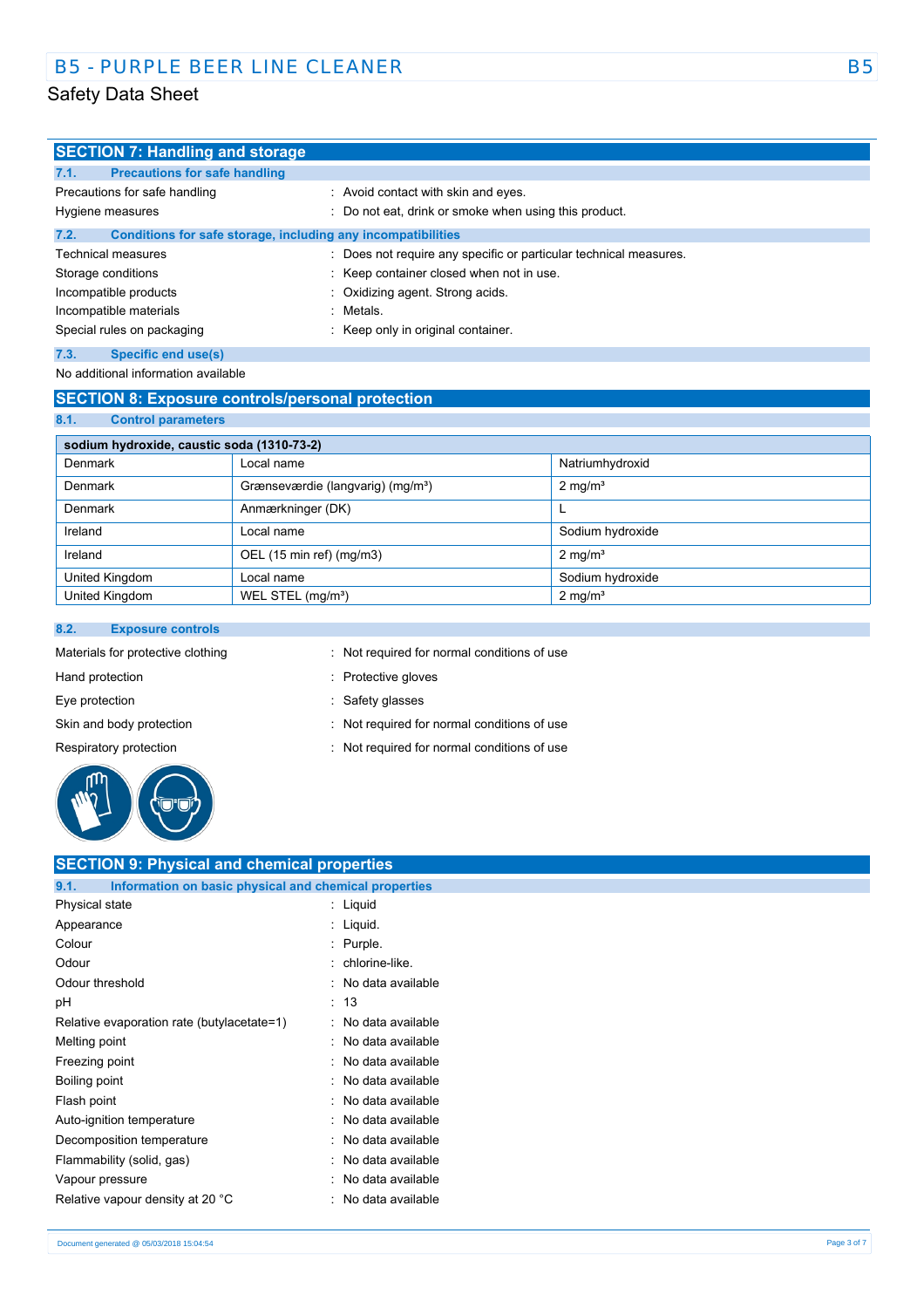| <b>SECTION 7: Handling and storage</b>                               |                                                                   |
|----------------------------------------------------------------------|-------------------------------------------------------------------|
| 7.1.<br><b>Precautions for safe handling</b>                         |                                                                   |
| Precautions for safe handling                                        | : Avoid contact with skin and eyes.                               |
| Hygiene measures                                                     | : Do not eat, drink or smoke when using this product.             |
| 7.2.<br>Conditions for safe storage, including any incompatibilities |                                                                   |
| <b>Technical measures</b>                                            | : Does not require any specific or particular technical measures. |
| Storage conditions                                                   | : Keep container closed when not in use.                          |
| Incompatible products                                                | : Oxidizing agent. Strong acids.                                  |
| Incompatible materials                                               | : Metals.                                                         |
| Special rules on packaging                                           | : Keep only in original container.                                |
| 7.3.<br>Specific end use(s)                                          |                                                                   |

### No additional information available

### **SECTION 8: Exposure controls/personal protection**

**8.1. Control parameters**

| sodium hydroxide, caustic soda (1310-73-2) |                                               |                       |
|--------------------------------------------|-----------------------------------------------|-----------------------|
| Denmark                                    | Local name                                    | Natriumhydroxid       |
| Denmark                                    | Grænseværdie (langvarig) (mg/m <sup>3</sup> ) | $2 \text{ mg/m}^3$    |
| Denmark                                    | Anmærkninger (DK)                             |                       |
| Ireland                                    | l ocal name                                   | Sodium hydroxide      |
| Ireland                                    | OEL (15 min ref) (mg/m3)                      | $2 \text{ mg/m}^3$    |
| United Kingdom                             | Local name                                    | Sodium hydroxide      |
| United Kingdom                             | WEL STEL (mg/m <sup>3</sup> )                 | $2$ mg/m <sup>3</sup> |

#### **8.2. Exposure controls**

| Materials for protective clothing | : Not required for normal conditions of use |
|-----------------------------------|---------------------------------------------|
| Hand protection                   | : Protective gloves                         |
| Eye protection                    | : Safety glasses                            |
| Skin and body protection          | : Not required for normal conditions of use |
| Respiratory protection            | : Not required for normal conditions of use |
| ጠከ                                |                                             |

### **SECTION 9: Physical and chemical properties 9.1. Information on basic physical and chemical properties** Physical state in the state of the state of the state in the state of the state of the state in the state of the state of the state of the state of the state of the state of the state of the state of the state of the state Appearance : Liquid. Colour : Purple. Odour is a contract to contract the contract of the chlorine-like. Odour threshold **in the set of the set of the set of the set of the set of the set of the set of the set of the set of the set of the set of the set of the set of the set of the set of the set of the set of the set of the** pH : 13 Relative evaporation rate (butylacetate=1) : No data available Melting point **in the case of the case of the case of the case of the case of the case of the case of the case of the case of the case of the case of the case of the case of the case of the case of the case of the case of** Freezing point **in the case of the case of the case of the case of the case of the case of the case of the case of the case of the case of the case of the case of the case of the case of the case of the case of the case of** Boiling point **in the set of the set of the set of the set of the set of the set of the set of the set of the set of the set of the set of the set of the set of the set of the set of the set of the set of the set of the se** Flash point **in the case of the case of the case of the case of the case of the case of the case of the case of the case of the case of the case of the case of the case of the case of the case of the case of the case of th** Auto-ignition temperature **interest and the Contract Auto-** : No data available Decomposition temperature **interest and the Composition temperature** : No data available Flammability (solid, gas)  $\blacksquare$  : No data available Vapour pressure in the same state of the San Assembly of the Vapour pressure Relative vapour density at 20 °C : No data available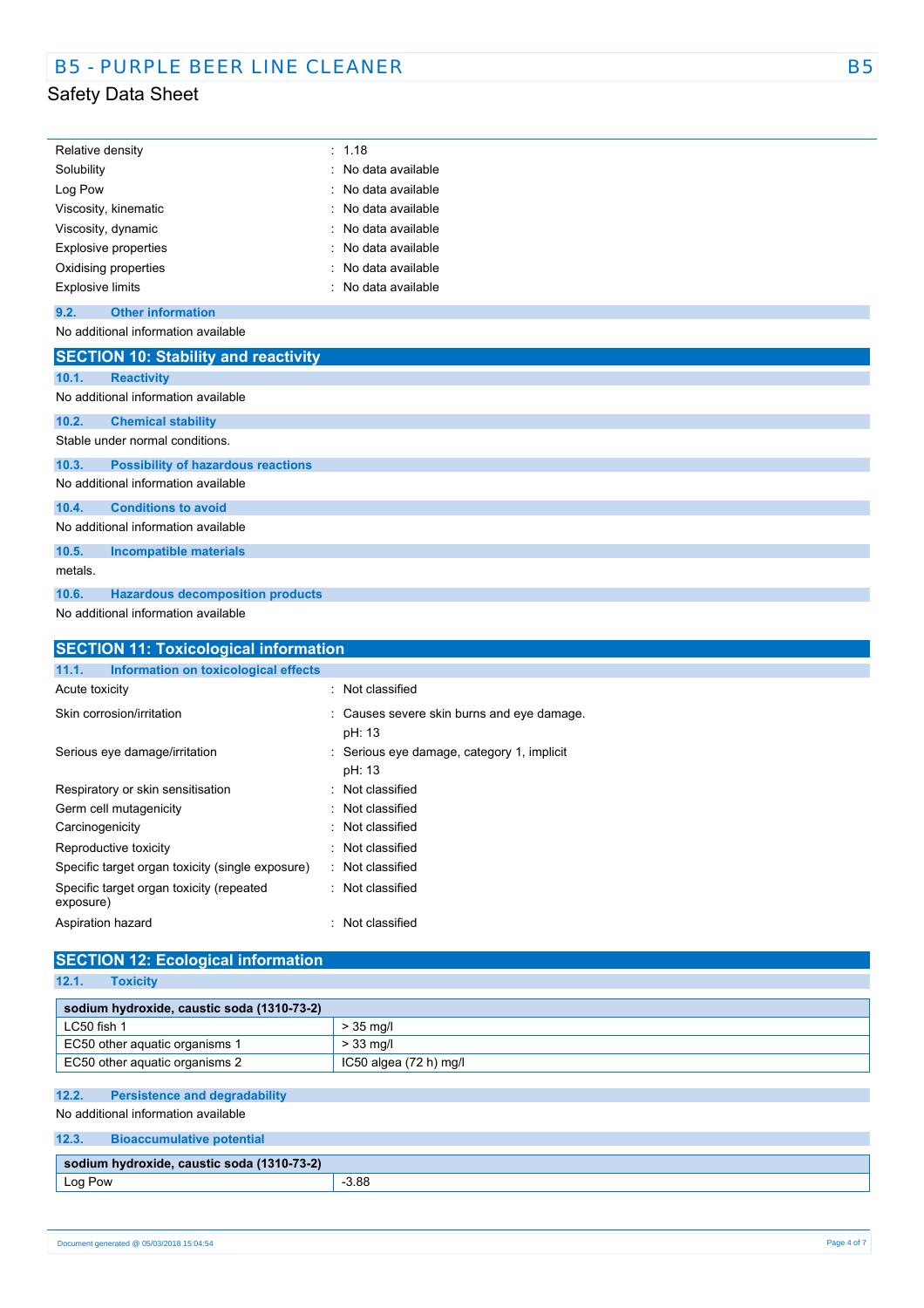| Relative density            | : 1.18              |
|-----------------------------|---------------------|
| Solubility                  | : No data available |
| Log Pow                     | : No data available |
| Viscosity, kinematic        | : No data available |
| Viscosity, dynamic          | : No data available |
| <b>Explosive properties</b> | : No data available |
| Oxidising properties        | : No data available |
| <b>Explosive limits</b>     | : No data available |

### **9.2. Other information**

No additional information available

|         | <b>SECTION 10: Stability and reactivity</b> |
|---------|---------------------------------------------|
| 10.1.   | <b>Reactivity</b>                           |
|         | No additional information available         |
| 10.2.   | <b>Chemical stability</b>                   |
|         | Stable under normal conditions.             |
| 10.3.   | <b>Possibility of hazardous reactions</b>   |
|         | No additional information available         |
| 10.4.   | <b>Conditions to avoid</b>                  |
|         | No additional information available         |
| 10.5.   | <b>Incompatible materials</b>               |
| metals. |                                             |
| 10.6.   | <b>Hazardous decomposition products</b>     |

No additional information available

| <b>SECTION 11: Toxicological information</b>          |                                                      |  |
|-------------------------------------------------------|------------------------------------------------------|--|
| Information on toxicological effects<br>11.1.         |                                                      |  |
| Acute toxicity                                        | : Not classified                                     |  |
| Skin corrosion/irritation                             | : Causes severe skin burns and eye damage.<br>pH: 13 |  |
| Serious eye damage/irritation                         | : Serious eye damage, category 1, implicit<br>pH: 13 |  |
| Respiratory or skin sensitisation                     | : Not classified                                     |  |
| Germ cell mutagenicity                                | : Not classified                                     |  |
| Carcinogenicity                                       | : Not classified                                     |  |
| Reproductive toxicity                                 | : Not classified                                     |  |
| Specific target organ toxicity (single exposure)      | : Not classified                                     |  |
| Specific target organ toxicity (repeated<br>exposure) | : Not classified                                     |  |
| Aspiration hazard                                     | Not classified<br>٠.                                 |  |
|                                                       |                                                      |  |

# **SECTION 12: Ecological information**

|  | oxieh | w |
|--|-------|---|
|  |       |   |

| sodium hydroxide, caustic soda (1310-73-2) |                        |  |
|--------------------------------------------|------------------------|--|
| LC50 fish 1                                | $>$ 35 ma/l            |  |
| EC50 other aquatic organisms 1             | $> 33$ mg/l            |  |
| EC50 other aquatic organisms 2             | IC50 algea (72 h) mg/l |  |

### **12.2. Persistence and degradability**

No additional information available

### **12.3. Bioaccumulative potential**

| $(1310 - 73 - 2)$<br>$\backslash$ caustic soda<br>ım hydroxide.<br><b>CO</b> |       |  |
|------------------------------------------------------------------------------|-------|--|
| Log Pow                                                                      | 3.88  |  |
| $\sim$                                                                       | $  -$ |  |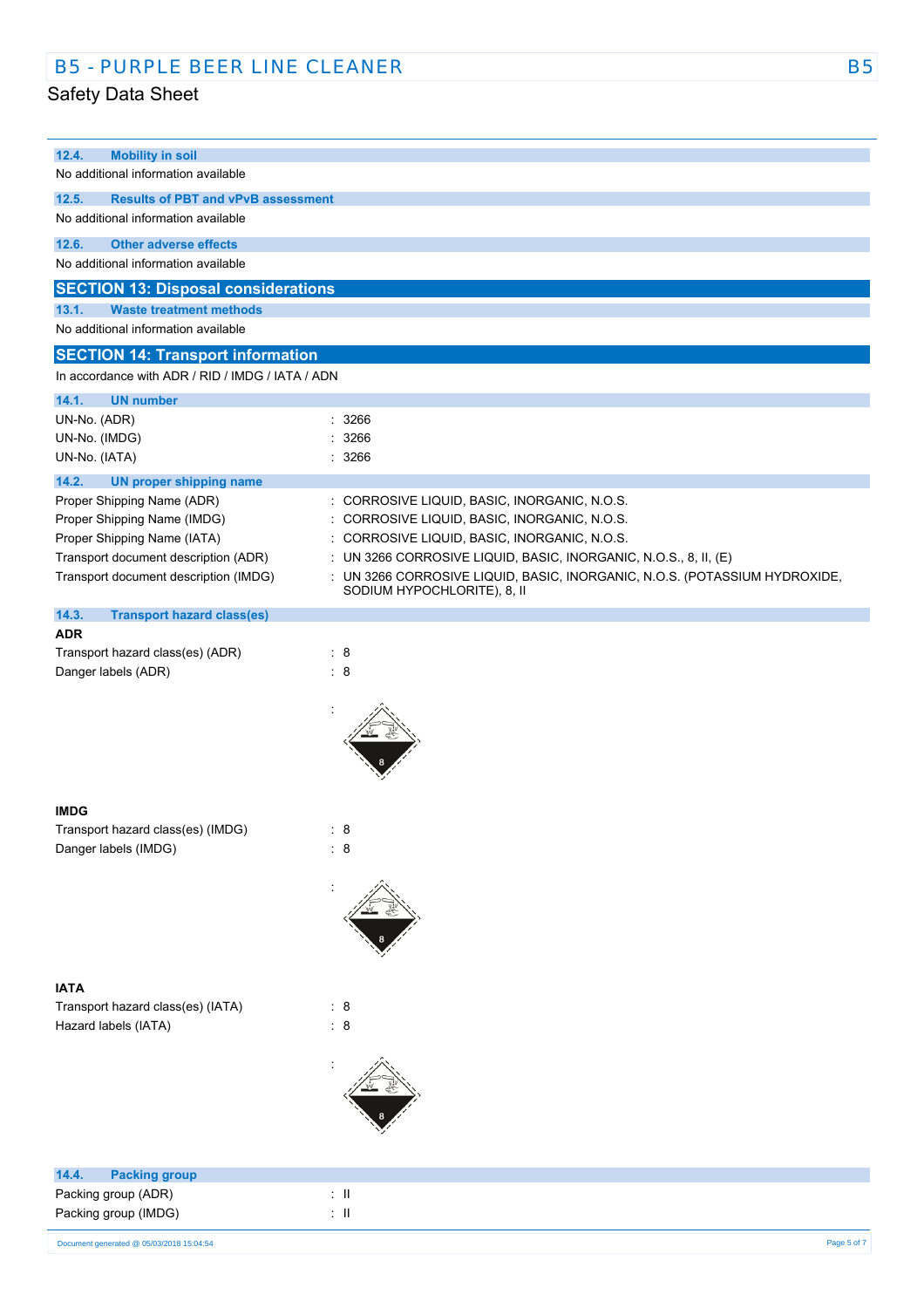| 12.4.<br><b>Mobility in soil</b>                   |                                                                          |
|----------------------------------------------------|--------------------------------------------------------------------------|
| No additional information available                |                                                                          |
| 12.5.<br><b>Results of PBT and vPvB assessment</b> |                                                                          |
| No additional information available                |                                                                          |
|                                                    |                                                                          |
| 12.6.<br><b>Other adverse effects</b>              |                                                                          |
| No additional information available                |                                                                          |
| <b>SECTION 13: Disposal considerations</b>         |                                                                          |
| 13.1.<br><b>Waste treatment methods</b>            |                                                                          |
| No additional information available                |                                                                          |
|                                                    |                                                                          |
| <b>SECTION 14: Transport information</b>           |                                                                          |
| In accordance with ADR / RID / IMDG / IATA / ADN   |                                                                          |
| 14.1.<br><b>UN number</b>                          |                                                                          |
| UN-No. (ADR)                                       | 3266                                                                     |
| UN-No. (IMDG)                                      | 3266                                                                     |
| UN-No. (IATA)                                      | : 3266                                                                   |
| 14.2.<br><b>UN proper shipping name</b>            |                                                                          |
| Proper Shipping Name (ADR)                         | : CORROSIVE LIQUID, BASIC, INORGANIC, N.O.S.                             |
| Proper Shipping Name (IMDG)                        | : CORROSIVE LIQUID, BASIC, INORGANIC, N.O.S.                             |
| Proper Shipping Name (IATA)                        | : CORROSIVE LIQUID, BASIC, INORGANIC, N.O.S.                             |
| Transport document description (ADR)               | UN 3266 CORROSIVE LIQUID, BASIC, INORGANIC, N.O.S., 8, II, (E)           |
| Transport document description (IMDG)              | UN 3266 CORROSIVE LIQUID, BASIC, INORGANIC, N.O.S. (POTASSIUM HYDROXIDE, |
|                                                    | SODIUM HYPOCHLORITE), 8, II                                              |
| 14.3.<br><b>Transport hazard class(es)</b>         |                                                                          |
| <b>ADR</b>                                         |                                                                          |
| Transport hazard class(es) (ADR)                   | : 8                                                                      |
| Danger labels (ADR)                                | : 8                                                                      |
|                                                    |                                                                          |
|                                                    |                                                                          |
|                                                    |                                                                          |
|                                                    |                                                                          |
|                                                    |                                                                          |
|                                                    |                                                                          |
|                                                    |                                                                          |
| <b>IMDG</b>                                        |                                                                          |
| Transport hazard class(es) (IMDG)                  | : 8                                                                      |
| Danger labels (IMDG)                               | $\therefore$ 8                                                           |
|                                                    |                                                                          |
|                                                    |                                                                          |
|                                                    |                                                                          |
|                                                    |                                                                          |
|                                                    |                                                                          |
|                                                    |                                                                          |
| <b>IATA</b>                                        |                                                                          |
| Transport hazard class(es) (IATA)                  | : 8                                                                      |
| Hazard labels (IATA)                               | $\colon 8$                                                               |
|                                                    |                                                                          |
|                                                    |                                                                          |
|                                                    |                                                                          |
|                                                    |                                                                          |
|                                                    |                                                                          |
|                                                    |                                                                          |
|                                                    |                                                                          |
| 14.4.<br><b>Packing group</b>                      |                                                                          |
| Packing group (ADR)                                | $\lesssim 11$                                                            |
| Packing group (IMDG)                               | : $\,$ II                                                                |
|                                                    |                                                                          |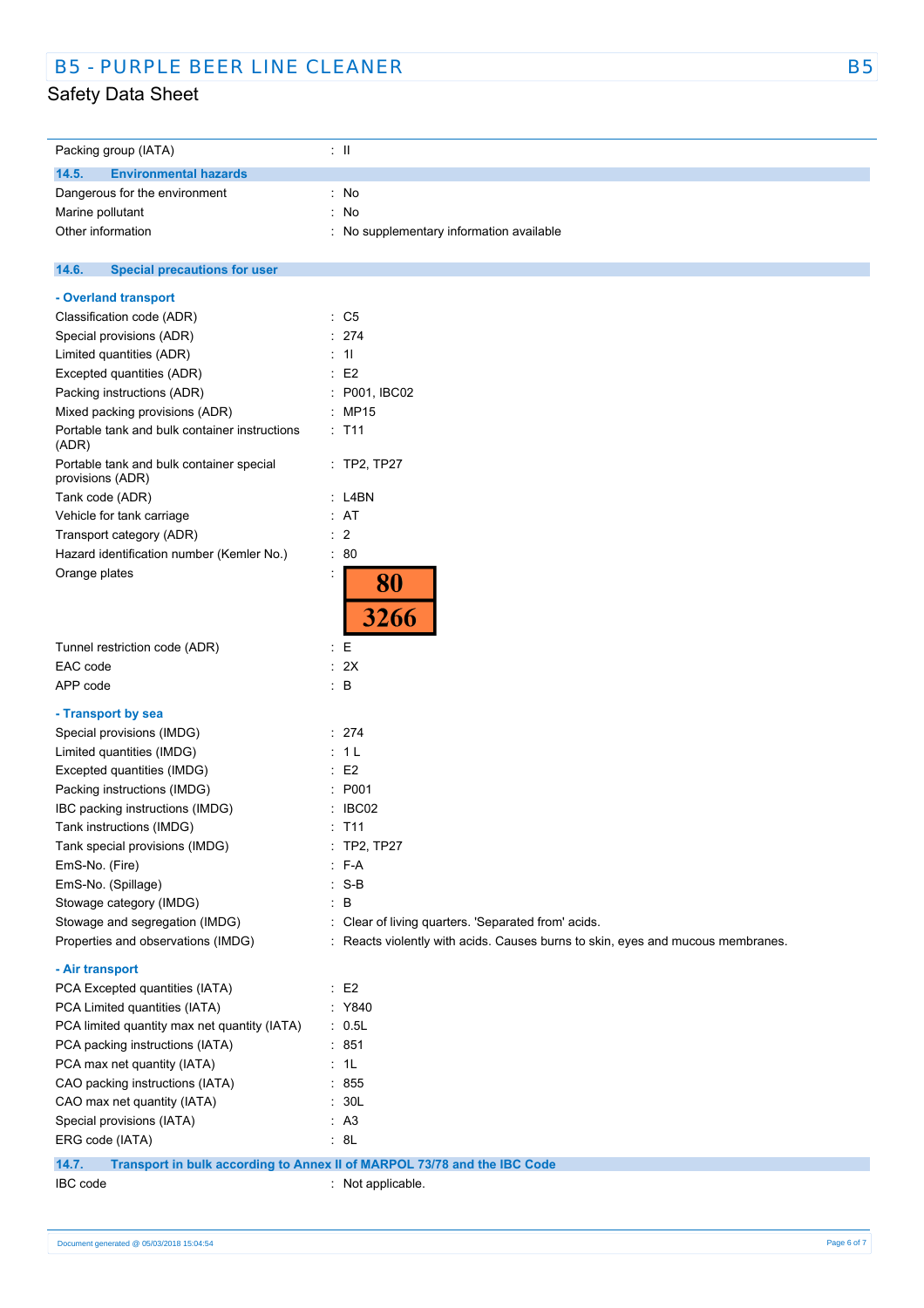| Packing group (IATA)                                                 | ÷Ш                                                                                                                                     |
|----------------------------------------------------------------------|----------------------------------------------------------------------------------------------------------------------------------------|
| <b>Environmental hazards</b><br>14.5.                                |                                                                                                                                        |
| Dangerous for the environment                                        | No<br>÷.                                                                                                                               |
| Marine pollutant                                                     | ł,<br>No                                                                                                                               |
| Other information                                                    | ÷.<br>No supplementary information available                                                                                           |
|                                                                      |                                                                                                                                        |
| <b>Special precautions for user</b><br>14.6.                         |                                                                                                                                        |
| - Overland transport                                                 |                                                                                                                                        |
| Classification code (ADR)                                            | $\therefore$ C5                                                                                                                        |
| Special provisions (ADR)                                             | : 274                                                                                                                                  |
| Limited quantities (ADR)                                             | : 11                                                                                                                                   |
| Excepted quantities (ADR)                                            | E2                                                                                                                                     |
| Packing instructions (ADR)                                           | P001, IBC02                                                                                                                            |
| Mixed packing provisions (ADR)                                       | <b>MP15</b>                                                                                                                            |
| Portable tank and bulk container instructions<br>(ADR)               | : T11                                                                                                                                  |
| Portable tank and bulk container special<br>provisions (ADR)         | : TP2, TP27                                                                                                                            |
| Tank code (ADR)                                                      | $:$ L4BN                                                                                                                               |
| Vehicle for tank carriage                                            | : AT                                                                                                                                   |
| Transport category (ADR)                                             | $\therefore$ 2                                                                                                                         |
| Hazard identification number (Kemler No.)                            | $\cdot$ 80                                                                                                                             |
| Orange plates                                                        | 80<br>3266                                                                                                                             |
|                                                                      |                                                                                                                                        |
| Tunnel restriction code (ADR)                                        | : E                                                                                                                                    |
| EAC code<br>APP code                                                 | : 2X<br>$\therefore$ B                                                                                                                 |
|                                                                      |                                                                                                                                        |
| - Transport by sea                                                   |                                                                                                                                        |
| Special provisions (IMDG)                                            | : 274                                                                                                                                  |
| Limited quantities (IMDG)                                            | 1 <sub>L</sub>                                                                                                                         |
| Excepted quantities (IMDG)                                           | E <sub>2</sub>                                                                                                                         |
| Packing instructions (IMDG)                                          | P001<br>t.                                                                                                                             |
| IBC packing instructions (IMDG)                                      | IBC02                                                                                                                                  |
| Tank instructions (IMDG)                                             | $:$ T11                                                                                                                                |
| Tank special provisions (IMDG)                                       | TP2, TP27                                                                                                                              |
| EmS-No. (Fire)                                                       | F-A<br>۰                                                                                                                               |
| EmS-No. (Spillage)                                                   | $S-B$                                                                                                                                  |
| Stowage category (IMDG)                                              | B<br>t.                                                                                                                                |
| Stowage and segregation (IMDG)<br>Properties and observations (IMDG) | : Clear of living quarters. 'Separated from' acids.<br>: Reacts violently with acids. Causes burns to skin, eyes and mucous membranes. |
|                                                                      |                                                                                                                                        |
| - Air transport                                                      |                                                                                                                                        |
| PCA Excepted quantities (IATA)                                       | $\cdot$ E2                                                                                                                             |
| PCA Limited quantities (IATA)                                        | : Y840                                                                                                                                 |
| PCA limited quantity max net quantity (IATA)                         | : 0.5L                                                                                                                                 |
| PCA packing instructions (IATA)                                      | : 851                                                                                                                                  |
| PCA max net quantity (IATA)                                          | : 1L                                                                                                                                   |
| CAO packing instructions (IATA)                                      | : 855                                                                                                                                  |
| CAO max net quantity (IATA)                                          | : 30L                                                                                                                                  |
| Special provisions (IATA)                                            | : A3                                                                                                                                   |
| ERG code (IATA)                                                      | : 8L                                                                                                                                   |
| 14.7.                                                                | Transport in bulk according to Annex II of MARPOL 73/78 and the IBC Code                                                               |
| IBC code                                                             | : Not applicable.                                                                                                                      |
|                                                                      |                                                                                                                                        |